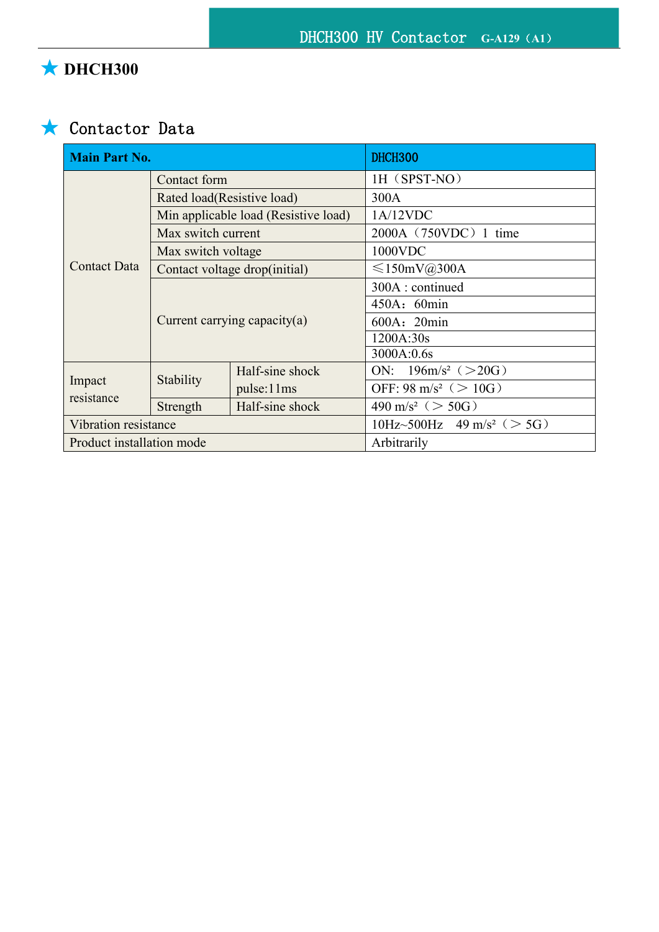# ★ **DHCH300**

## ★ Contactor Data

| <b>Main Part No.</b>      |                                      |                 | DHCH300                                    |
|---------------------------|--------------------------------------|-----------------|--------------------------------------------|
| <b>Contact Data</b>       | Contact form                         |                 | 1H (SPST-NO)                               |
|                           | Rated load(Resistive load)           |                 | 300A                                       |
|                           | Min applicable load (Resistive load) |                 | 1A/12VDC                                   |
|                           | Max switch current                   |                 | 2000A (750VDC) 1 time                      |
|                           | Max switch voltage                   |                 | 1000VDC                                    |
|                           | Contact voltage drop(initial)        |                 | $\leq 150$ mV@300A                         |
|                           | Current carrying capacity(a)         |                 | 300A : continued                           |
|                           |                                      |                 | 450A: 60min                                |
|                           |                                      |                 | 600A: 20min                                |
|                           |                                      |                 | 1200A:30s                                  |
|                           |                                      |                 | 3000A:0.6s                                 |
| Impact<br>resistance      | Stability                            | Half-sine shock | ON: $196 \text{m/s}^2$ ( $> 20 \text{G}$ ) |
|                           |                                      | pulse:11ms      | OFF: 98 m/s <sup>2</sup> ( $> 10$ G)       |
|                           | Strength                             | Half-sine shock | 490 m/s <sup>2</sup> ( $>$ 50G)            |
| Vibration resistance      |                                      |                 | 10Hz~500Hz 49 m/s <sup>2</sup> ( $>$ 5G)   |
| Product installation mode |                                      |                 | Arbitrarily                                |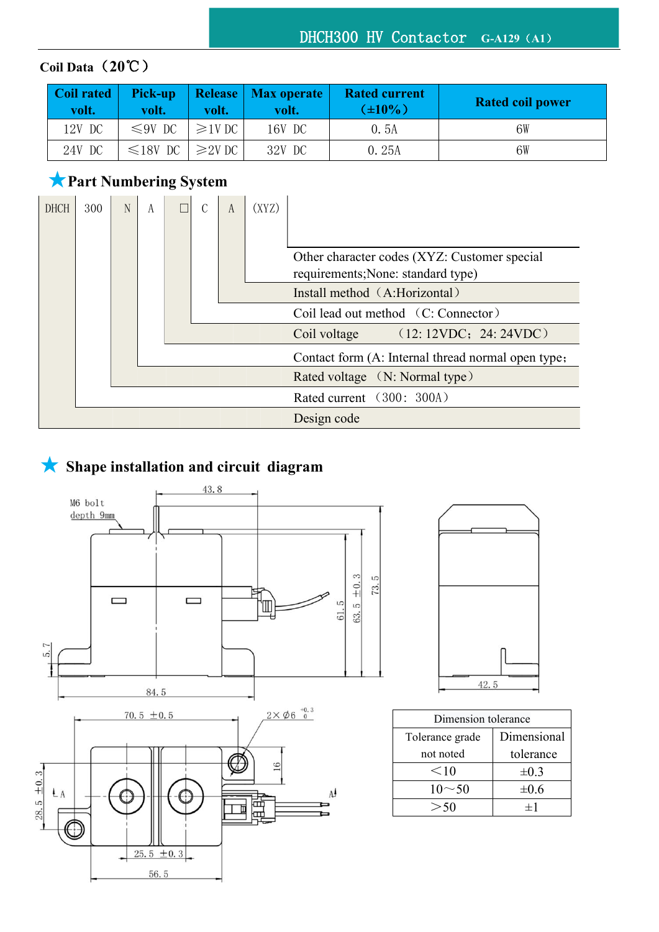### DHCH300 HV Contactor **G-A129**(**A1**)

### **Coil Data**(**20**℃)

| Coil rated<br>volt. | Pick-up<br>volt. | volt.        | Release   Max operate  <br>volt. | <b>Rated current</b><br>$(\pm 10\%)$ | <b>Rated coil power</b> |
|---------------------|------------------|--------------|----------------------------------|--------------------------------------|-------------------------|
| 12V DC              | $\leq 9V$ DC     | $\geq 1V$ DC | 16V DC                           | 0.5A                                 | 6W                      |
| 24V DC              | $\leq 18V$ DC    | $\geq$ 2V DC | 32V DC                           | 0.25A                                | 6W                      |

### ★**Part Numbering System**



### ★ **Shape installation and circuit diagram**





| Dimension tolerance |             |  |  |
|---------------------|-------------|--|--|
| Tolerance grade     | Dimensional |  |  |
| not noted           | tolerance   |  |  |
| $<$ 10              | $\pm 0.3$   |  |  |
| $10 \sim 50$        | $\pm 0.6$   |  |  |
|                     |             |  |  |